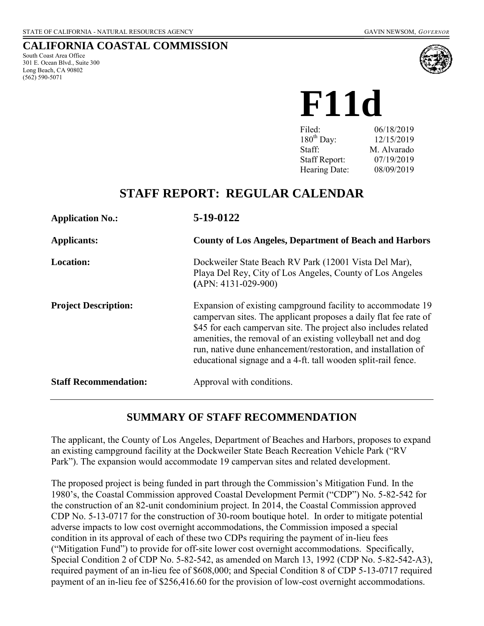# **CALIFORNIA COASTAL COMMISSION**

South Coast Area Office 301 E. Ocean Blvd., Suite 300 Long Beach, CA 90802 (562) 590-5071



# **F11d**

| 06/18/2019  |
|-------------|
| 12/15/2019  |
| M. Alvarado |
| 07/19/2019  |
| 08/09/2019  |
|             |

# **STAFF REPORT: REGULAR CALENDAR**

| <b>Application No.:</b>      | 5-19-0122                                                                                                                                                                                                                                                                                                                                                                                            |
|------------------------------|------------------------------------------------------------------------------------------------------------------------------------------------------------------------------------------------------------------------------------------------------------------------------------------------------------------------------------------------------------------------------------------------------|
| <b>Applicants:</b>           | <b>County of Los Angeles, Department of Beach and Harbors</b>                                                                                                                                                                                                                                                                                                                                        |
| <b>Location:</b>             | Dockweiler State Beach RV Park (12001 Vista Del Mar),<br>Playa Del Rey, City of Los Angeles, County of Los Angeles<br>$(APN: 4131-029-900)$                                                                                                                                                                                                                                                          |
| <b>Project Description:</b>  | Expansion of existing campground facility to accommodate 19<br>campervan sites. The applicant proposes a daily flat fee rate of<br>\$45 for each campervan site. The project also includes related<br>amenities, the removal of an existing volleyball net and dog<br>run, native dune enhancement/restoration, and installation of<br>educational signage and a 4-ft. tall wooden split-rail fence. |
| <b>Staff Recommendation:</b> | Approval with conditions.                                                                                                                                                                                                                                                                                                                                                                            |

# **SUMMARY OF STAFF RECOMMENDATION**

The applicant, the County of Los Angeles, Department of Beaches and Harbors, proposes to expand an existing campground facility at the Dockweiler State Beach Recreation Vehicle Park ("RV Park"). The expansion would accommodate 19 campervan sites and related development.

The proposed project is being funded in part through the Commission's Mitigation Fund. In the 1980's, the Coastal Commission approved Coastal Development Permit ("CDP") No. 5-82-542 for the construction of an 82-unit condominium project. In 2014, the Coastal Commission approved CDP No. 5-13-0717 for the construction of 30-room boutique hotel. In order to mitigate potential adverse impacts to low cost overnight accommodations, the Commission imposed a special condition in its approval of each of these two CDPs requiring the payment of in-lieu fees ("Mitigation Fund") to provide for off-site lower cost overnight accommodations. Specifically, Special Condition 2 of CDP No. 5-82-542, as amended on March 13, 1992 (CDP No. 5-82-542-A3), required payment of an in-lieu fee of \$608,000; and Special Condition 8 of CDP 5-13-0717 required payment of an in-lieu fee of \$256,416.60 for the provision of low-cost overnight accommodations.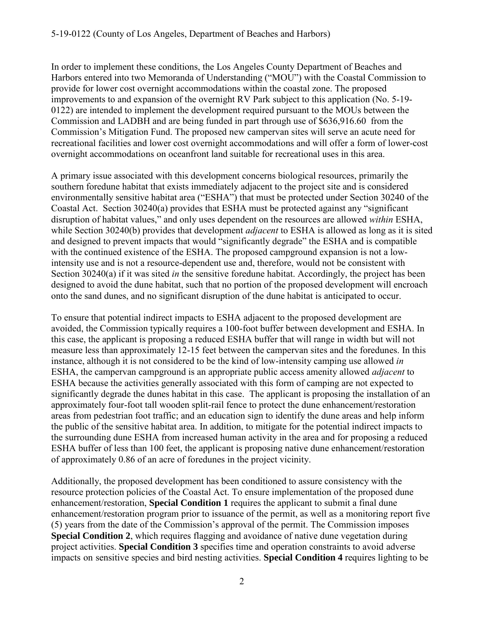In order to implement these conditions, the Los Angeles County Department of Beaches and Harbors entered into two Memoranda of Understanding ("MOU") with the Coastal Commission to provide for lower cost overnight accommodations within the coastal zone. The proposed improvements to and expansion of the overnight RV Park subject to this application (No. 5-19- 0122) are intended to implement the development required pursuant to the MOUs between the Commission and LADBH and are being funded in part through use of \$636,916.60 from the Commission's Mitigation Fund. The proposed new campervan sites will serve an acute need for recreational facilities and lower cost overnight accommodations and will offer a form of lower-cost overnight accommodations on oceanfront land suitable for recreational uses in this area.

A primary issue associated with this development concerns biological resources, primarily the southern foredune habitat that exists immediately adjacent to the project site and is considered environmentally sensitive habitat area ("ESHA") that must be protected under Section 30240 of the Coastal Act. Section 30240(a) provides that ESHA must be protected against any "significant disruption of habitat values," and only uses dependent on the resources are allowed *within* ESHA, while Section 30240(b) provides that development *adjacent* to ESHA is allowed as long as it is sited and designed to prevent impacts that would "significantly degrade" the ESHA and is compatible with the continued existence of the ESHA. The proposed campground expansion is not a lowintensity use and is not a resource-dependent use and, therefore, would not be consistent with Section 30240(a) if it was sited *in* the sensitive foredune habitat. Accordingly, the project has been designed to avoid the dune habitat, such that no portion of the proposed development will encroach onto the sand dunes, and no significant disruption of the dune habitat is anticipated to occur.

To ensure that potential indirect impacts to ESHA adjacent to the proposed development are avoided, the Commission typically requires a 100-foot buffer between development and ESHA. In this case, the applicant is proposing a reduced ESHA buffer that will range in width but will not measure less than approximately 12-15 feet between the campervan sites and the foredunes. In this instance, although it is not considered to be the kind of low-intensity camping use allowed *in*  ESHA, the campervan campground is an appropriate public access amenity allowed *adjacent* to ESHA because the activities generally associated with this form of camping are not expected to significantly degrade the dunes habitat in this case. The applicant is proposing the installation of an approximately four-foot tall wooden split-rail fence to protect the dune enhancement/restoration areas from pedestrian foot traffic; and an education sign to identify the dune areas and help inform the public of the sensitive habitat area. In addition, to mitigate for the potential indirect impacts to the surrounding dune ESHA from increased human activity in the area and for proposing a reduced ESHA buffer of less than 100 feet, the applicant is proposing native dune enhancement/restoration of approximately 0.86 of an acre of foredunes in the project vicinity.

Additionally, the proposed development has been conditioned to assure consistency with the resource protection policies of the Coastal Act. To ensure implementation of the proposed dune enhancement/restoration, **Special Condition 1** requires the applicant to submit a final dune enhancement/restoration program prior to issuance of the permit, as well as a monitoring report five (5) years from the date of the Commission's approval of the permit. The Commission imposes **Special Condition 2**, which requires flagging and avoidance of native dune vegetation during project activities. **Special Condition 3** specifies time and operation constraints to avoid adverse impacts on sensitive species and bird nesting activities. **Special Condition 4** requires lighting to be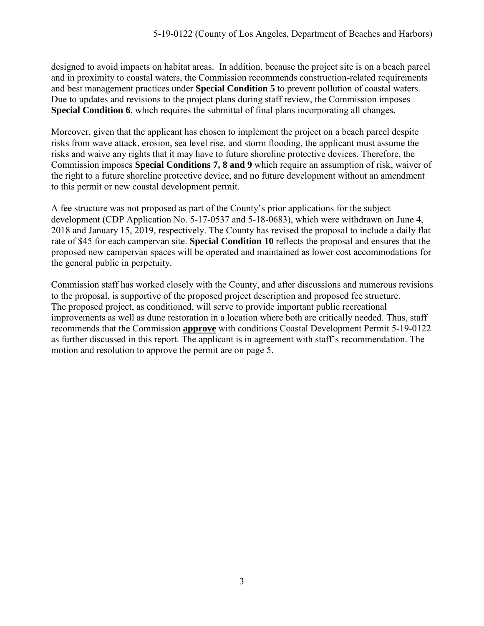designed to avoid impacts on habitat areas. In addition, because the project site is on a beach parcel and in proximity to coastal waters, the Commission recommends construction-related requirements and best management practices under **Special Condition 5** to prevent pollution of coastal waters. Due to updates and revisions to the project plans during staff review, the Commission imposes **Special Condition 6**, which requires the submittal of final plans incorporating all changes**.** 

Moreover, given that the applicant has chosen to implement the project on a beach parcel despite risks from wave attack, erosion, sea level rise, and storm flooding, the applicant must assume the risks and waive any rights that it may have to future shoreline protective devices. Therefore, the Commission imposes **Special Conditions 7, 8 and 9** which require an assumption of risk, waiver of the right to a future shoreline protective device, and no future development without an amendment to this permit or new coastal development permit.

A fee structure was not proposed as part of the County's prior applications for the subject development (CDP Application No. 5-17-0537 and 5-18-0683), which were withdrawn on June 4, 2018 and January 15, 2019, respectively. The County has revised the proposal to include a daily flat rate of \$45 for each campervan site. **Special Condition 10** reflects the proposal and ensures that the proposed new campervan spaces will be operated and maintained as lower cost accommodations for the general public in perpetuity.

Commission staff has worked closely with the County, and after discussions and numerous revisions to the proposal, is supportive of the proposed project description and proposed fee structure. The proposed project, as conditioned, will serve to provide important public recreational improvements as well as dune restoration in a location where both are critically needed. Thus, staff recommends that the Commission **approve** with conditions Coastal Development Permit 5-19-0122 as further discussed in this report. The applicant is in agreement with staff's recommendation. The motion and resolution to approve the permit are on page 5.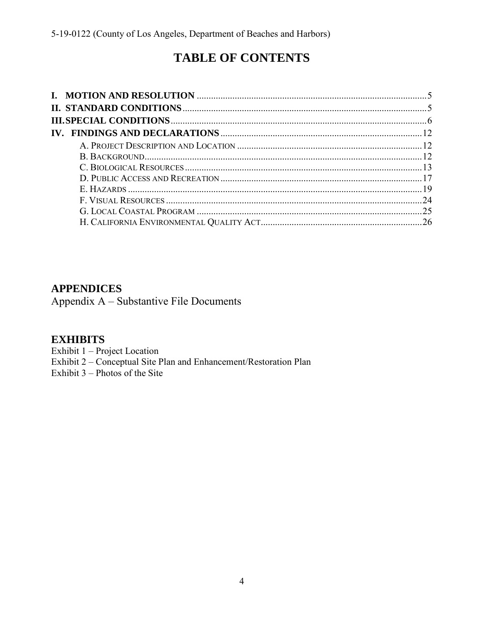# **TABLE OF CONTENTS**

# **APPENDICES**

Appendix A - Substantive File Documents

# **EXHIBITS**

Exhibit 1 - Project Location

Exhibit 2 - Conceptual Site Plan and Enhancement/Restoration Plan

Exhibit  $3$  – Photos of the Site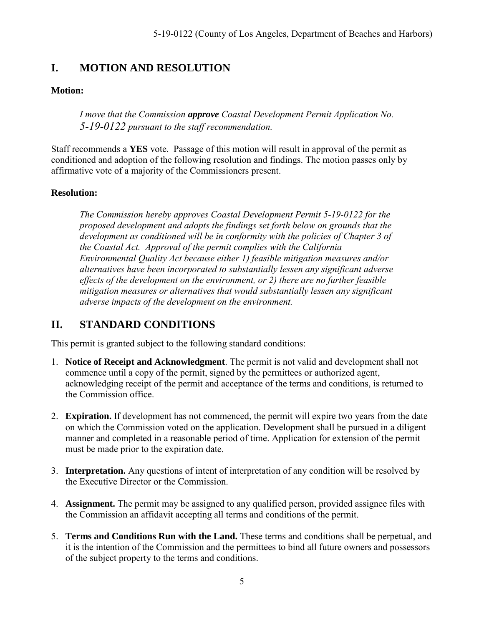# <span id="page-4-0"></span>**I. MOTION AND RESOLUTION**

## **Motion:**

*I move that the Commission approve Coastal Development Permit Application No. 5-19-0122 pursuant to the staff recommendation.*

Staff recommends a **YES** vote. Passage of this motion will result in approval of the permit as conditioned and adoption of the following resolution and findings. The motion passes only by affirmative vote of a majority of the Commissioners present.

### **Resolution:**

*The Commission hereby approves Coastal Development Permit 5-19-0122 for the proposed development and adopts the findings set forth below on grounds that the development as conditioned will be in conformity with the policies of Chapter 3 of the Coastal Act. Approval of the permit complies with the California Environmental Quality Act because either 1) feasible mitigation measures and/or alternatives have been incorporated to substantially lessen any significant adverse effects of the development on the environment, or 2) there are no further feasible mitigation measures or alternatives that would substantially lessen any significant adverse impacts of the development on the environment.* 

# <span id="page-4-1"></span>**II. STANDARD CONDITIONS**

This permit is granted subject to the following standard conditions:

- 1. **Notice of Receipt and Acknowledgment**. The permit is not valid and development shall not commence until a copy of the permit, signed by the permittees or authorized agent, acknowledging receipt of the permit and acceptance of the terms and conditions, is returned to the Commission office.
- 2. **Expiration.** If development has not commenced, the permit will expire two years from the date on which the Commission voted on the application. Development shall be pursued in a diligent manner and completed in a reasonable period of time. Application for extension of the permit must be made prior to the expiration date.
- 3. **Interpretation.** Any questions of intent of interpretation of any condition will be resolved by the Executive Director or the Commission.
- 4. **Assignment.** The permit may be assigned to any qualified person, provided assignee files with the Commission an affidavit accepting all terms and conditions of the permit.
- 5. **Terms and Conditions Run with the Land.** These terms and conditions shall be perpetual, and it is the intention of the Commission and the permittees to bind all future owners and possessors of the subject property to the terms and conditions.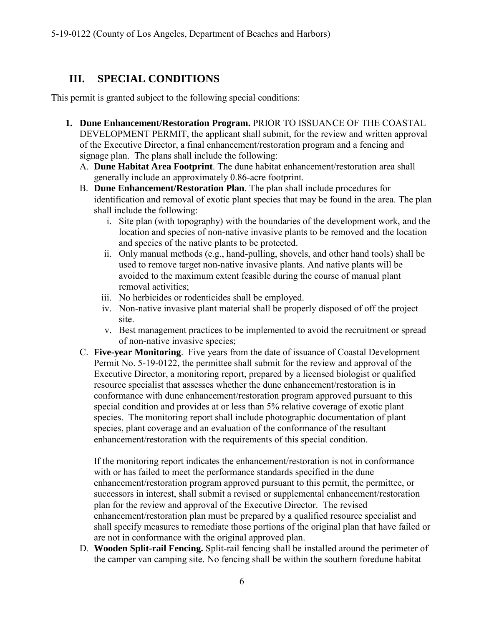# <span id="page-5-0"></span>**III. SPECIAL CONDITIONS**

This permit is granted subject to the following special conditions:

- **1. Dune Enhancement/Restoration Program.** PRIOR TO ISSUANCE OF THE COASTAL DEVELOPMENT PERMIT, the applicant shall submit, for the review and written approval of the Executive Director, a final enhancement/restoration program and a fencing and signage plan. The plans shall include the following:
	- A. **Dune Habitat Area Footprint**. The dune habitat enhancement/restoration area shall generally include an approximately 0.86-acre footprint.
	- B. **Dune Enhancement/Restoration Plan**. The plan shall include procedures for identification and removal of exotic plant species that may be found in the area. The plan shall include the following:
		- i. Site plan (with topography) with the boundaries of the development work, and the location and species of non-native invasive plants to be removed and the location and species of the native plants to be protected.
		- ii. Only manual methods (e.g., hand-pulling, shovels, and other hand tools) shall be used to remove target non-native invasive plants. And native plants will be avoided to the maximum extent feasible during the course of manual plant removal activities;
		- iii. No herbicides or rodenticides shall be employed.
		- iv. Non-native invasive plant material shall be properly disposed of off the project site.
		- v. Best management practices to be implemented to avoid the recruitment or spread of non-native invasive species;
	- C. **Five-year Monitoring**. Five years from the date of issuance of Coastal Development Permit No. 5-19-0122, the permittee shall submit for the review and approval of the Executive Director, a monitoring report, prepared by a licensed biologist or qualified resource specialist that assesses whether the dune enhancement/restoration is in conformance with dune enhancement/restoration program approved pursuant to this special condition and provides at or less than 5% relative coverage of exotic plant species. The monitoring report shall include photographic documentation of plant species, plant coverage and an evaluation of the conformance of the resultant enhancement/restoration with the requirements of this special condition.

If the monitoring report indicates the enhancement/restoration is not in conformance with or has failed to meet the performance standards specified in the dune enhancement/restoration program approved pursuant to this permit, the permittee, or successors in interest, shall submit a revised or supplemental enhancement/restoration plan for the review and approval of the Executive Director. The revised enhancement/restoration plan must be prepared by a qualified resource specialist and shall specify measures to remediate those portions of the original plan that have failed or are not in conformance with the original approved plan.

D. **Wooden Split-rail Fencing.** Split-rail fencing shall be installed around the perimeter of the camper van camping site. No fencing shall be within the southern foredune habitat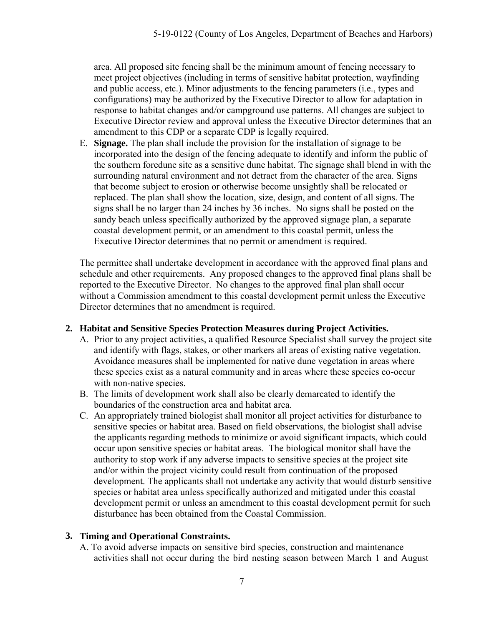area. All proposed site fencing shall be the minimum amount of fencing necessary to meet project objectives (including in terms of sensitive habitat protection, wayfinding and public access, etc.). Minor adjustments to the fencing parameters (i.e., types and configurations) may be authorized by the Executive Director to allow for adaptation in response to habitat changes and/or campground use patterns. All changes are subject to Executive Director review and approval unless the Executive Director determines that an amendment to this CDP or a separate CDP is legally required.

E. **Signage.** The plan shall include the provision for the installation of signage to be incorporated into the design of the fencing adequate to identify and inform the public of the southern foredune site as a sensitive dune habitat. The signage shall blend in with the surrounding natural environment and not detract from the character of the area. Signs that become subject to erosion or otherwise become unsightly shall be relocated or replaced. The plan shall show the location, size, design, and content of all signs. The signs shall be no larger than 24 inches by 36 inches. No signs shall be posted on the sandy beach unless specifically authorized by the approved signage plan, a separate coastal development permit, or an amendment to this coastal permit, unless the Executive Director determines that no permit or amendment is required.

The permittee shall undertake development in accordance with the approved final plans and schedule and other requirements. Any proposed changes to the approved final plans shall be reported to the Executive Director. No changes to the approved final plan shall occur without a Commission amendment to this coastal development permit unless the Executive Director determines that no amendment is required.

### **2. Habitat and Sensitive Species Protection Measures during Project Activities.**

- A. Prior to any project activities, a qualified Resource Specialist shall survey the project site and identify with flags, stakes, or other markers all areas of existing native vegetation. Avoidance measures shall be implemented for native dune vegetation in areas where these species exist as a natural community and in areas where these species co-occur with non-native species.
- B. The limits of development work shall also be clearly demarcated to identify the boundaries of the construction area and habitat area.
- C. An appropriately trained biologist shall monitor all project activities for disturbance to sensitive species or habitat area. Based on field observations, the biologist shall advise the applicants regarding methods to minimize or avoid significant impacts, which could occur upon sensitive species or habitat areas. The biological monitor shall have the authority to stop work if any adverse impacts to sensitive species at the project site and/or within the project vicinity could result from continuation of the proposed development. The applicants shall not undertake any activity that would disturb sensitive species or habitat area unless specifically authorized and mitigated under this coastal development permit or unless an amendment to this coastal development permit for such disturbance has been obtained from the Coastal Commission.

### **3. Timing and Operational Constraints.**

A. To avoid adverse impacts on sensitive bird species, construction and maintenance activities shall not occur during the bird nesting season between March 1 and August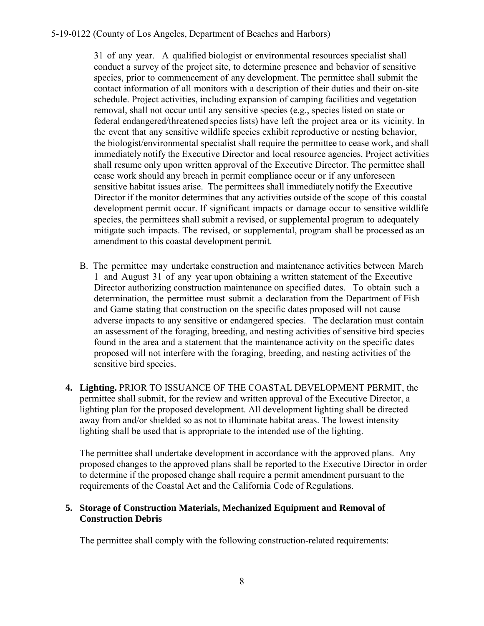31 of any year. A qualified biologist or environmental resources specialist shall conduct a survey of the project site, to determine presence and behavior of sensitive species, prior to commencement of any development. The permittee shall submit the contact information of all monitors with a description of their duties and their on-site schedule. Project activities, including expansion of camping facilities and vegetation removal, shall not occur until any sensitive species (e.g., species listed on state or federal endangered/threatened species lists) have left the project area or its vicinity. In the event that any sensitive wildlife species exhibit reproductive or nesting behavior, the biologist/environmental specialist shall require the permittee to cease work, and shall immediately notify the Executive Director and local resource agencies. Project activities shall resume only upon written approval of the Executive Director. The permittee shall cease work should any breach in permit compliance occur or if any unforeseen sensitive habitat issues arise. The permittees shall immediately notify the Executive Director if the monitor determines that any activities outside of the scope of this coastal development permit occur. If significant impacts or damage occur to sensitive wildlife species, the permittees shall submit a revised, or supplemental program to adequately mitigate such impacts. The revised, or supplemental, program shall be processed as an amendment to this coastal development permit.

- B. The permittee may undertake construction and maintenance activities between March 1 and August 31 of any year upon obtaining a written statement of the Executive Director authorizing construction maintenance on specified dates. To obtain such a determination, the permittee must submit a declaration from the Department of Fish and Game stating that construction on the specific dates proposed will not cause adverse impacts to any sensitive or endangered species. The declaration must contain an assessment of the foraging, breeding, and nesting activities of sensitive bird species found in the area and a statement that the maintenance activity on the specific dates proposed will not interfere with the foraging, breeding, and nesting activities of the sensitive bird species.
- **4. Lighting.** PRIOR TO ISSUANCE OF THE COASTAL DEVELOPMENT PERMIT, the permittee shall submit, for the review and written approval of the Executive Director, a lighting plan for the proposed development. All development lighting shall be directed away from and/or shielded so as not to illuminate habitat areas. The lowest intensity lighting shall be used that is appropriate to the intended use of the lighting.

The permittee shall undertake development in accordance with the approved plans. Any proposed changes to the approved plans shall be reported to the Executive Director in order to determine if the proposed change shall require a permit amendment pursuant to the requirements of the Coastal Act and the California Code of Regulations.

#### **5. Storage of Construction Materials, Mechanized Equipment and Removal of Construction Debris**

The permittee shall comply with the following construction-related requirements: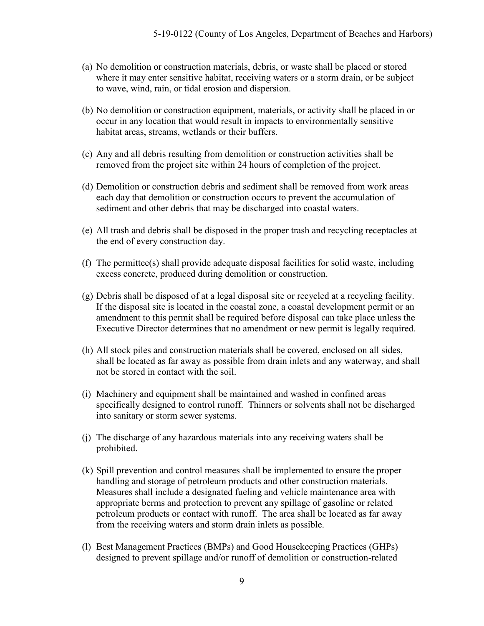- (a) No demolition or construction materials, debris, or waste shall be placed or stored where it may enter sensitive habitat, receiving waters or a storm drain, or be subject to wave, wind, rain, or tidal erosion and dispersion.
- (b) No demolition or construction equipment, materials, or activity shall be placed in or occur in any location that would result in impacts to environmentally sensitive habitat areas, streams, wetlands or their buffers.
- (c) Any and all debris resulting from demolition or construction activities shall be removed from the project site within 24 hours of completion of the project.
- (d) Demolition or construction debris and sediment shall be removed from work areas each day that demolition or construction occurs to prevent the accumulation of sediment and other debris that may be discharged into coastal waters.
- (e) All trash and debris shall be disposed in the proper trash and recycling receptacles at the end of every construction day.
- (f) The permittee(s) shall provide adequate disposal facilities for solid waste, including excess concrete, produced during demolition or construction.
- (g) Debris shall be disposed of at a legal disposal site or recycled at a recycling facility. If the disposal site is located in the coastal zone, a coastal development permit or an amendment to this permit shall be required before disposal can take place unless the Executive Director determines that no amendment or new permit is legally required.
- (h) All stock piles and construction materials shall be covered, enclosed on all sides, shall be located as far away as possible from drain inlets and any waterway, and shall not be stored in contact with the soil.
- (i) Machinery and equipment shall be maintained and washed in confined areas specifically designed to control runoff. Thinners or solvents shall not be discharged into sanitary or storm sewer systems.
- (j) The discharge of any hazardous materials into any receiving waters shall be prohibited.
- (k) Spill prevention and control measures shall be implemented to ensure the proper handling and storage of petroleum products and other construction materials. Measures shall include a designated fueling and vehicle maintenance area with appropriate berms and protection to prevent any spillage of gasoline or related petroleum products or contact with runoff. The area shall be located as far away from the receiving waters and storm drain inlets as possible.
- (l) Best Management Practices (BMPs) and Good Housekeeping Practices (GHPs) designed to prevent spillage and/or runoff of demolition or construction-related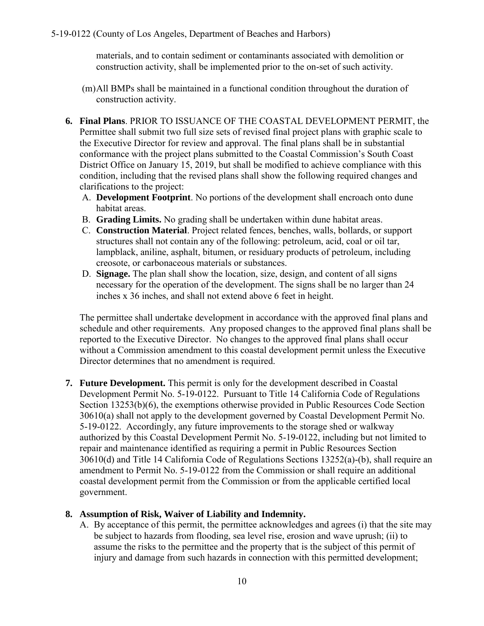materials, and to contain sediment or contaminants associated with demolition or construction activity, shall be implemented prior to the on-set of such activity.

- (m)All BMPs shall be maintained in a functional condition throughout the duration of construction activity.
- **6. Final Plans**. PRIOR TO ISSUANCE OF THE COASTAL DEVELOPMENT PERMIT, the Permittee shall submit two full size sets of revised final project plans with graphic scale to the Executive Director for review and approval. The final plans shall be in substantial conformance with the project plans submitted to the Coastal Commission's South Coast District Office on January 15, 2019, but shall be modified to achieve compliance with this condition, including that the revised plans shall show the following required changes and clarifications to the project:
	- A. **Development Footprint**. No portions of the development shall encroach onto dune habitat areas.
	- B. **Grading Limits.** No grading shall be undertaken within dune habitat areas.
	- C. **Construction Material**. Project related fences, benches, walls, bollards, or support structures shall not contain any of the following: petroleum, acid, coal or oil tar, lampblack, aniline, asphalt, bitumen, or residuary products of petroleum, including creosote, or carbonaceous materials or substances.
	- D. **Signage.** The plan shall show the location, size, design, and content of all signs necessary for the operation of the development. The signs shall be no larger than 24 inches x 36 inches, and shall not extend above 6 feet in height.

The permittee shall undertake development in accordance with the approved final plans and schedule and other requirements. Any proposed changes to the approved final plans shall be reported to the Executive Director. No changes to the approved final plans shall occur without a Commission amendment to this coastal development permit unless the Executive Director determines that no amendment is required.

**7. Future Development.** This permit is only for the development described in Coastal Development Permit No. 5-19-0122. Pursuant to Title 14 California Code of Regulations Section 13253(b)(6), the exemptions otherwise provided in Public Resources Code Section 30610(a) shall not apply to the development governed by Coastal Development Permit No. 5-19-0122. Accordingly, any future improvements to the storage shed or walkway authorized by this Coastal Development Permit No. 5-19-0122, including but not limited to repair and maintenance identified as requiring a permit in Public Resources Section 30610(d) and Title 14 California Code of Regulations Sections 13252(a)-(b), shall require an amendment to Permit No. 5-19-0122 from the Commission or shall require an additional coastal development permit from the Commission or from the applicable certified local government.

### **8. Assumption of Risk, Waiver of Liability and Indemnity.**

A. By acceptance of this permit, the permittee acknowledges and agrees (i) that the site may be subject to hazards from flooding, sea level rise, erosion and wave uprush; (ii) to assume the risks to the permittee and the property that is the subject of this permit of injury and damage from such hazards in connection with this permitted development;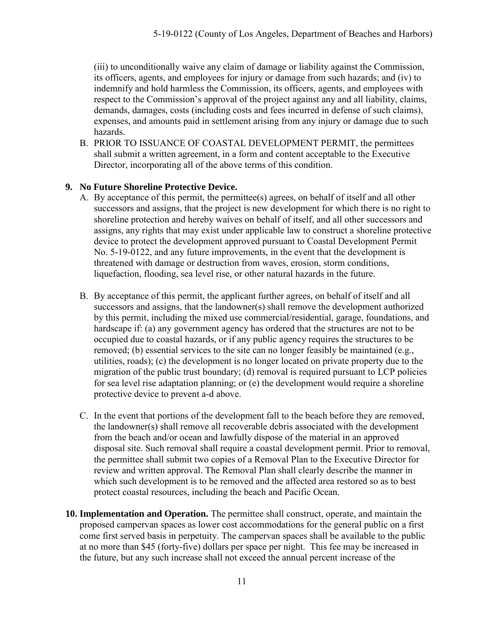(iii) to unconditionally waive any claim of damage or liability against the Commission, its officers, agents, and employees for injury or damage from such hazards; and (iv) to indemnify and hold harmless the Commission, its officers, agents, and employees with respect to the Commission's approval of the project against any and all liability, claims, demands, damages, costs (including costs and fees incurred in defense of such claims), expenses, and amounts paid in settlement arising from any injury or damage due to such hazards.

B. PRIOR TO ISSUANCE OF COASTAL DEVELOPMENT PERMIT, the permittees shall submit a written agreement, in a form and content acceptable to the Executive Director, incorporating all of the above terms of this condition.

## **9. No Future Shoreline Protective Device.**

- A. By acceptance of this permit, the permittee(s) agrees, on behalf of itself and all other successors and assigns, that the project is new development for which there is no right to shoreline protection and hereby waives on behalf of itself, and all other successors and assigns, any rights that may exist under applicable law to construct a shoreline protective device to protect the development approved pursuant to Coastal Development Permit No. 5-19-0122, and any future improvements, in the event that the development is threatened with damage or destruction from waves, erosion, storm conditions, liquefaction, flooding, sea level rise, or other natural hazards in the future.
- B. By acceptance of this permit, the applicant further agrees, on behalf of itself and all successors and assigns, that the landowner(s) shall remove the development authorized by this permit, including the mixed use commercial/residential, garage, foundations, and hardscape if: (a) any government agency has ordered that the structures are not to be occupied due to coastal hazards, or if any public agency requires the structures to be removed; (b) essential services to the site can no longer feasibly be maintained (e.g., utilities, roads); (c) the development is no longer located on private property due to the migration of the public trust boundary; (d) removal is required pursuant to LCP policies for sea level rise adaptation planning; or (e) the development would require a shoreline protective device to prevent a-d above.
- C. In the event that portions of the development fall to the beach before they are removed, the landowner(s) shall remove all recoverable debris associated with the development from the beach and/or ocean and lawfully dispose of the material in an approved disposal site. Such removal shall require a coastal development permit. Prior to removal, the permittee shall submit two copies of a Removal Plan to the Executive Director for review and written approval. The Removal Plan shall clearly describe the manner in which such development is to be removed and the affected area restored so as to best protect coastal resources, including the beach and Pacific Ocean.
- **10. Implementation and Operation.** The permittee shall construct, operate, and maintain the proposed campervan spaces as lower cost accommodations for the general public on a first come first served basis in perpetuity. The campervan spaces shall be available to the public at no more than \$45 (forty-five) dollars per space per night. This fee may be increased in the future, but any such increase shall not exceed the annual percent increase of the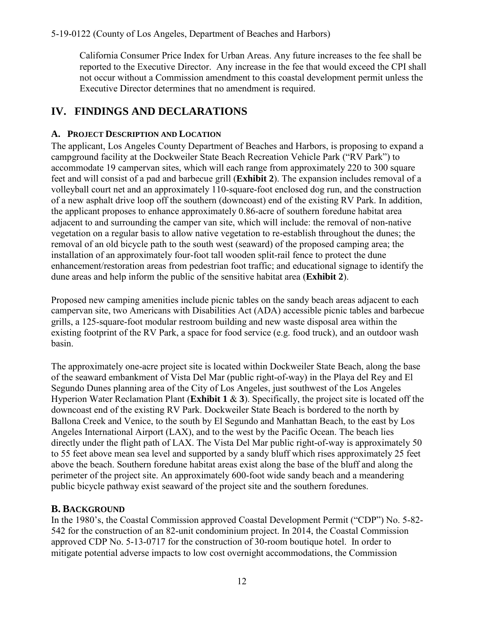California Consumer Price Index for Urban Areas. Any future increases to the fee shall be reported to the Executive Director. Any increase in the fee that would exceed the CPI shall not occur without a Commission amendment to this coastal development permit unless the Executive Director determines that no amendment is required.

# <span id="page-11-0"></span>**IV. FINDINGS AND DECLARATIONS**

# <span id="page-11-1"></span>**A. PROJECT DESCRIPTION AND LOCATION**

The applicant, Los Angeles County Department of Beaches and Harbors, is proposing to expand a campground facility at the Dockweiler State Beach Recreation Vehicle Park ("RV Park") to accommodate 19 campervan sites, which will each range from approximately 220 to 300 square feet and will consist of a pad and barbecue grill (**[Exhibit 2](https://documents.coastal.ca.gov/reports/2019/8/f11d/f11d-8-2019-exhibits.pdf)**). The expansion includes removal of a volleyball court net and an approximately 110-square-foot enclosed dog run, and the construction of a new asphalt drive loop off the southern (downcoast) end of the existing RV Park. In addition, the applicant proposes to enhance approximately 0.86-acre of southern foredune habitat area adjacent to and surrounding the camper van site, which will include: the removal of non-native vegetation on a regular basis to allow native vegetation to re-establish throughout the dunes; the removal of an old bicycle path to the south west (seaward) of the proposed camping area; the installation of an approximately four-foot tall wooden split-rail fence to protect the dune enhancement/restoration areas from pedestrian foot traffic; and educational signage to identify the dune areas and help inform the public of the sensitive habitat area (**[Exhibit 2](https://documents.coastal.ca.gov/reports/2019/8/f11d/f11d-8-2019-exhibits.pdf)**).

Proposed new camping amenities include picnic tables on the sandy beach areas adjacent to each campervan site, two Americans with Disabilities Act (ADA) accessible picnic tables and barbecue grills, a 125-square-foot modular restroom building and new waste disposal area within the existing footprint of the RV Park, a space for food service (e.g. food truck), and an outdoor wash basin.

The approximately one-acre project site is located within Dockweiler State Beach, along the base of the seaward embankment of Vista Del Mar (public right-of-way) in the Playa del Rey and El Segundo Dunes planning area of the City of Los Angeles, just southwest of the Los Angeles Hyperion Water Reclamation Plant (**[Exhibit 1](https://documents.coastal.ca.gov/reports/2019/8/f11d/f11d-8-2019-exhibits.pdf)** & **3**). Specifically, the project site is located off the downcoast end of the existing RV Park. Dockweiler State Beach is bordered to the north by Ballona Creek and Venice, to the south by El Segundo and Manhattan Beach, to the east by Los Angeles International Airport (LAX), and to the west by the Pacific Ocean. The beach lies directly under the flight path of LAX. The Vista Del Mar public right-of-way is approximately 50 to 55 feet above mean sea level and supported by a sandy bluff which rises approximately 25 feet above the beach. Southern foredune habitat areas exist along the base of the bluff and along the perimeter of the project site. An approximately 600-foot wide sandy beach and a meandering public bicycle pathway exist seaward of the project site and the southern foredunes.

# <span id="page-11-2"></span>**B. BACKGROUND**

In the 1980's, the Coastal Commission approved Coastal Development Permit ("CDP") No. 5-82- 542 for the construction of an 82-unit condominium project. In 2014, the Coastal Commission approved CDP No. 5-13-0717 for the construction of 30-room boutique hotel. In order to mitigate potential adverse impacts to low cost overnight accommodations, the Commission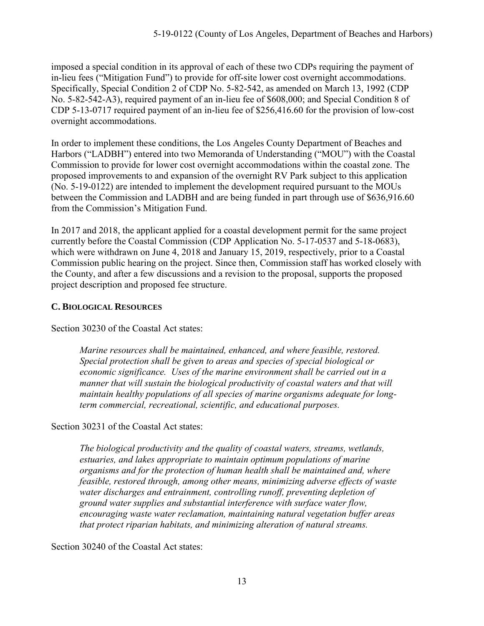imposed a special condition in its approval of each of these two CDPs requiring the payment of in-lieu fees ("Mitigation Fund") to provide for off-site lower cost overnight accommodations. Specifically, Special Condition 2 of CDP No. 5-82-542, as amended on March 13, 1992 (CDP No. 5-82-542-A3), required payment of an in-lieu fee of \$608,000; and Special Condition 8 of CDP 5-13-0717 required payment of an in-lieu fee of \$256,416.60 for the provision of low-cost overnight accommodations.

In order to implement these conditions, the Los Angeles County Department of Beaches and Harbors ("LADBH") entered into two Memoranda of Understanding ("MOU") with the Coastal Commission to provide for lower cost overnight accommodations within the coastal zone. The proposed improvements to and expansion of the overnight RV Park subject to this application (No. 5-19-0122) are intended to implement the development required pursuant to the MOUs between the Commission and LADBH and are being funded in part through use of \$636,916.60 from the Commission's Mitigation Fund.

In 2017 and 2018, the applicant applied for a coastal development permit for the same project currently before the Coastal Commission (CDP Application No. 5-17-0537 and 5-18-0683), which were withdrawn on June 4, 2018 and January 15, 2019, respectively, prior to a Coastal Commission public hearing on the project. Since then, Commission staff has worked closely with the County, and after a few discussions and a revision to the proposal, supports the proposed project description and proposed fee structure.

## <span id="page-12-0"></span>**C. BIOLOGICAL RESOURCES**

Section 30230 of the Coastal Act states:

*Marine resources shall be maintained, enhanced, and where feasible, restored. Special protection shall be given to areas and species of special biological or economic significance. Uses of the marine environment shall be carried out in a manner that will sustain the biological productivity of coastal waters and that will maintain healthy populations of all species of marine organisms adequate for longterm commercial, recreational, scientific, and educational purposes.* 

Section 30231 of the Coastal Act states:

*The biological productivity and the quality of coastal waters, streams, wetlands, estuaries, and lakes appropriate to maintain optimum populations of marine organisms and for the protection of human health shall be maintained and, where feasible, restored through, among other means, minimizing adverse effects of waste water discharges and entrainment, controlling runoff, preventing depletion of ground water supplies and substantial interference with surface water flow, encouraging waste water reclamation, maintaining natural vegetation buffer areas that protect riparian habitats, and minimizing alteration of natural streams.* 

Section 30240 of the Coastal Act states: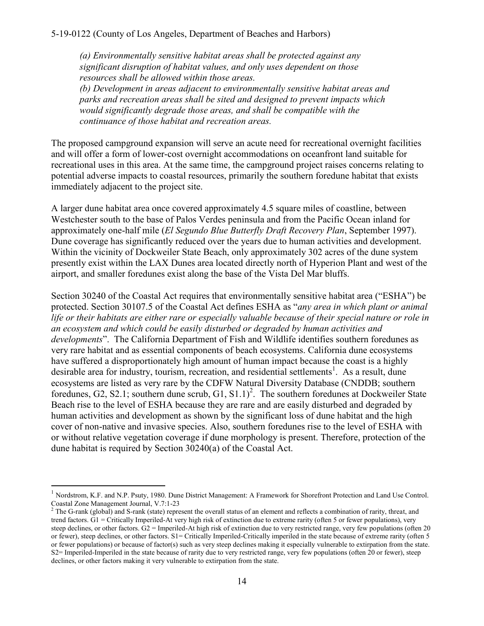*(a) Environmentally sensitive habitat areas shall be protected against any significant disruption of habitat values, and only uses dependent on those resources shall be allowed within those areas. (b) Development in areas adjacent to environmentally sensitive habitat areas and parks and recreation areas shall be sited and designed to prevent impacts which would significantly degrade those areas, and shall be compatible with the continuance of those habitat and recreation areas.* 

The proposed campground expansion will serve an acute need for recreational overnight facilities and will offer a form of lower-cost overnight accommodations on oceanfront land suitable for recreational uses in this area. At the same time, the campground project raises concerns relating to potential adverse impacts to coastal resources, primarily the southern foredune habitat that exists immediately adjacent to the project site.

A larger dune habitat area once covered approximately 4.5 square miles of coastline, between Westchester south to the base of Palos Verdes peninsula and from the Pacific Ocean inland for approximately one-half mile (*El Segundo Blue Butterfly Draft Recovery Plan*, September 1997). Dune coverage has significantly reduced over the years due to human activities and development. Within the vicinity of Dockweiler State Beach, only approximately 302 acres of the dune system presently exist within the LAX Dunes area located directly north of Hyperion Plant and west of the airport, and smaller foredunes exist along the base of the Vista Del Mar bluffs.

Section 30240 of the Coastal Act requires that environmentally sensitive habitat area ("ESHA") be protected. Section 30107.5 of the Coastal Act defines ESHA as "*any area in which plant or animal life or their habitats are either rare or especially valuable because of their special nature or role in an ecosystem and which could be easily disturbed or degraded by human activities and developments*". The California Department of Fish and Wildlife identifies southern foredunes as very rare habitat and as essential components of beach ecosystems. California dune ecosystems have suffered a disproportionately high amount of human impact because the coast is a highly desirable area for industry, tourism, recreation, and residential settlements<sup>1</sup>. As a result, dune ecosystems are listed as very rare by the CDFW Natural Diversity Database (CNDDB; southern foredunes,  $G2$ ,  $S2.1$ ; southern dune scrub,  $G1$ ,  $S1.1$ <sup>2</sup>. The southern foredunes at Dockweiler State Beach rise to the level of ESHA because they are rare and are easily disturbed and degraded by human activities and development as shown by the significant loss of dune habitat and the high cover of non-native and invasive species. Also, southern foredunes rise to the level of ESHA with or without relative vegetation coverage if dune morphology is present. Therefore, protection of the dune habitat is required by Section 30240(a) of the Coastal Act.

 $\overline{a}$ 

<sup>&</sup>lt;sup>1</sup> Nordstrom, K.F. and N.P. Psuty, 1980. Dune District Management: A Framework for Shorefront Protection and Land Use Control. Coastal Zone Management Journal, V.7:1-23

 $<sup>2</sup>$  The G-rank (global) and S-rank (state) represent the overall status of an element and reflects a combination of rarity, threat, and</sup> trend factors. G1 = Critically Imperiled-At very high risk of extinction due to extreme rarity (often 5 or fewer populations), very steep declines, or other factors. G2 = Imperiled-At high risk of extinction due to very restricted range, very few populations (often 20 or fewer), steep declines, or other factors. S1= Critically Imperiled-Critically imperiled in the state because of extreme rarity (often 5 or fewer populations) or because of factor(s) such as very steep declines making it especially vulnerable to extirpation from the state. S2= Imperiled-Imperiled in the state because of rarity due to very restricted range, very few populations (often 20 or fewer), steep declines, or other factors making it very vulnerable to extirpation from the state.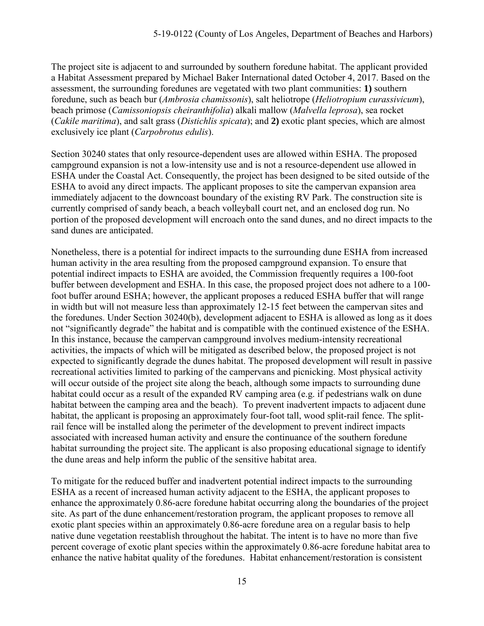The project site is adjacent to and surrounded by southern foredune habitat. The applicant provided a Habitat Assessment prepared by Michael Baker International dated October 4, 2017. Based on the assessment, the surrounding foredunes are vegetated with two plant communities: **1)** southern foredune, such as beach bur (*Ambrosia chamissonis*), salt heliotrope (*Heliotropium curassivicum*), beach primose (*Camissoniopsis cheiranthifolia*) alkali mallow (*Malvella leprosa*), sea rocket (*Cakile maritima*), and salt grass (*Distichlis spicata*); and **2)** exotic plant species, which are almost exclusively ice plant (*Carpobrotus edulis*).

Section 30240 states that only resource-dependent uses are allowed within ESHA. The proposed campground expansion is not a low-intensity use and is not a resource-dependent use allowed in ESHA under the Coastal Act. Consequently, the project has been designed to be sited outside of the ESHA to avoid any direct impacts. The applicant proposes to site the campervan expansion area immediately adjacent to the downcoast boundary of the existing RV Park. The construction site is currently comprised of sandy beach, a beach volleyball court net, and an enclosed dog run. No portion of the proposed development will encroach onto the sand dunes, and no direct impacts to the sand dunes are anticipated.

Nonetheless, there is a potential for indirect impacts to the surrounding dune ESHA from increased human activity in the area resulting from the proposed campground expansion. To ensure that potential indirect impacts to ESHA are avoided, the Commission frequently requires a 100-foot buffer between development and ESHA. In this case, the proposed project does not adhere to a 100 foot buffer around ESHA; however, the applicant proposes a reduced ESHA buffer that will range in width but will not measure less than approximately 12-15 feet between the campervan sites and the foredunes. Under Section 30240(b), development adjacent to ESHA is allowed as long as it does not "significantly degrade" the habitat and is compatible with the continued existence of the ESHA. In this instance, because the campervan campground involves medium-intensity recreational activities, the impacts of which will be mitigated as described below, the proposed project is not expected to significantly degrade the dunes habitat. The proposed development will result in passive recreational activities limited to parking of the campervans and picnicking. Most physical activity will occur outside of the project site along the beach, although some impacts to surrounding dune habitat could occur as a result of the expanded RV camping area (e.g. if pedestrians walk on dune habitat between the camping area and the beach). To prevent inadvertent impacts to adjacent dune habitat, the applicant is proposing an approximately four-foot tall, wood split-rail fence. The splitrail fence will be installed along the perimeter of the development to prevent indirect impacts associated with increased human activity and ensure the continuance of the southern foredune habitat surrounding the project site. The applicant is also proposing educational signage to identify the dune areas and help inform the public of the sensitive habitat area.

To mitigate for the reduced buffer and inadvertent potential indirect impacts to the surrounding ESHA as a recent of increased human activity adjacent to the ESHA, the applicant proposes to enhance the approximately 0.86-acre foredune habitat occurring along the boundaries of the project site. As part of the dune enhancement/restoration program, the applicant proposes to remove all exotic plant species within an approximately 0.86-acre foredune area on a regular basis to help native dune vegetation reestablish throughout the habitat. The intent is to have no more than five percent coverage of exotic plant species within the approximately 0.86-acre foredune habitat area to enhance the native habitat quality of the foredunes. Habitat enhancement/restoration is consistent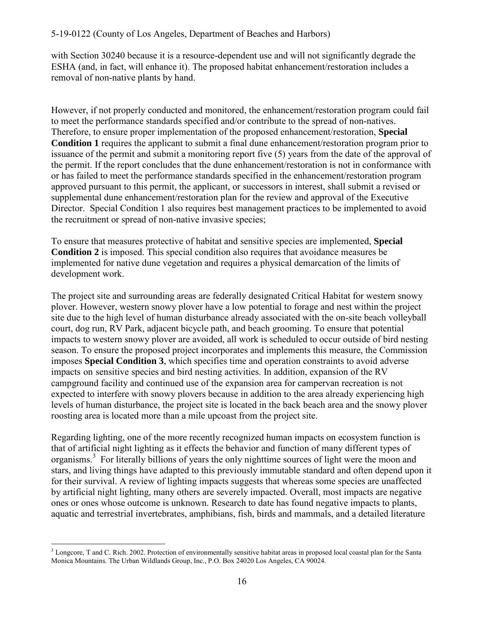with Section 30240 because it is a resource-dependent use and will not significantly degrade the ESHA (and, in fact, will enhance it). The proposed habitat enhancement/restoration includes a removal of non-native plants by hand.

However, if not properly conducted and monitored, the enhancement/restoration program could fail to meet the performance standards specified and/or contribute to the spread of non-natives. Therefore, to ensure proper implementation of the proposed enhancement/restoration, **Special Condition 1** requires the applicant to submit a final dune enhancement/restoration program prior to issuance of the permit and submit a monitoring report five (5) years from the date of the approval of the permit. If the report concludes that the dune enhancement/restoration is not in conformance with or has failed to meet the performance standards specified in the enhancement/restoration program approved pursuant to this permit, the applicant, or successors in interest, shall submit a revised or supplemental dune enhancement/restoration plan for the review and approval of the Executive Director. Special Condition 1 also requires best management practices to be implemented to avoid the recruitment or spread of non-native invasive species;

To ensure that measures protective of habitat and sensitive species are implemented, **Special Condition 2** is imposed. This special condition also requires that avoidance measures be implemented for native dune vegetation and requires a physical demarcation of the limits of development work.

The project site and surrounding areas are federally designated Critical Habitat for western snowy plover. However, western snowy plover have a low potential to forage and nest within the project site due to the high level of human disturbance already associated with the on-site beach volleyball court, dog run, RV Park, adjacent bicycle path, and beach grooming. To ensure that potential impacts to western snowy plover are avoided, all work is scheduled to occur outside of bird nesting season. To ensure the proposed project incorporates and implements this measure, the Commission imposes **Special Condition 3**, which specifies time and operation constraints to avoid adverse impacts on sensitive species and bird nesting activities. In addition, expansion of the RV campground facility and continued use of the expansion area for campervan recreation is not expected to interfere with snowy plovers because in addition to the area already experiencing high levels of human disturbance, the project site is located in the back beach area and the snowy plover roosting area is located more than a mile upcoast from the project site.

Regarding lighting, one of the more recently recognized human impacts on ecosystem function is that of artificial night lighting as it effects the behavior and function of many different types of organisms.<sup>3</sup> For literally billions of years the only nighttime sources of light were the moon and stars, and living things have adapted to this previously immutable standard and often depend upon it for their survival. A review of lighting impacts suggests that whereas some species are unaffected by artificial night lighting, many others are severely impacted. Overall, most impacts are negative ones or ones whose outcome is unknown. Research to date has found negative impacts to plants, aquatic and terrestrial invertebrates, amphibians, fish, birds and mammals, and a detailed literature

 $\overline{a}$  $3$  Longcore, T and C. Rich. 2002. Protection of environmentally sensitive habitat areas in proposed local coastal plan for the Santa Monica Mountains. The Urban Wildlands Group, Inc., P.O. Box 24020 Los Angeles, CA 90024.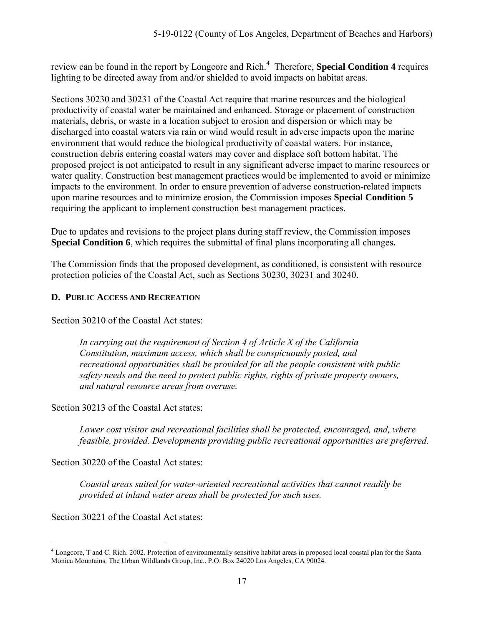review can be found in the report by Longcore and Rich.<sup>4</sup> Therefore, **Special Condition 4** requires lighting to be directed away from and/or shielded to avoid impacts on habitat areas.

Sections 30230 and 30231 of the Coastal Act require that marine resources and the biological productivity of coastal water be maintained and enhanced. Storage or placement of construction materials, debris, or waste in a location subject to erosion and dispersion or which may be discharged into coastal waters via rain or wind would result in adverse impacts upon the marine environment that would reduce the biological productivity of coastal waters. For instance, construction debris entering coastal waters may cover and displace soft bottom habitat. The proposed project is not anticipated to result in any significant adverse impact to marine resources or water quality. Construction best management practices would be implemented to avoid or minimize impacts to the environment. In order to ensure prevention of adverse construction-related impacts upon marine resources and to minimize erosion, the Commission imposes **Special Condition 5** requiring the applicant to implement construction best management practices.

Due to updates and revisions to the project plans during staff review, the Commission imposes **Special Condition 6**, which requires the submittal of final plans incorporating all changes**.** 

The Commission finds that the proposed development, as conditioned, is consistent with resource protection policies of the Coastal Act, such as Sections 30230, 30231 and 30240.

#### <span id="page-16-0"></span>**D. PUBLIC ACCESS AND RECREATION**

Section 30210 of the Coastal Act states:

*In carrying out the requirement of Section 4 of Article X of the California Constitution, maximum access, which shall be conspicuously posted, and recreational opportunities shall be provided for all the people consistent with public safety needs and the need to protect public rights, rights of private property owners, and natural resource areas from overuse.* 

Section 30213 of the Coastal Act states:

*Lower cost visitor and recreational facilities shall be protected, encouraged, and, where feasible, provided. Developments providing public recreational opportunities are preferred.* 

Section 30220 of the Coastal Act states:

*Coastal areas suited for water-oriented recreational activities that cannot readily be provided at inland water areas shall be protected for such uses.* 

Section 30221 of the Coastal Act states:

 $\overline{a}$ <sup>4</sup> Longcore, T and C. Rich. 2002. Protection of environmentally sensitive habitat areas in proposed local coastal plan for the Santa Monica Mountains. The Urban Wildlands Group, Inc., P.O. Box 24020 Los Angeles, CA 90024.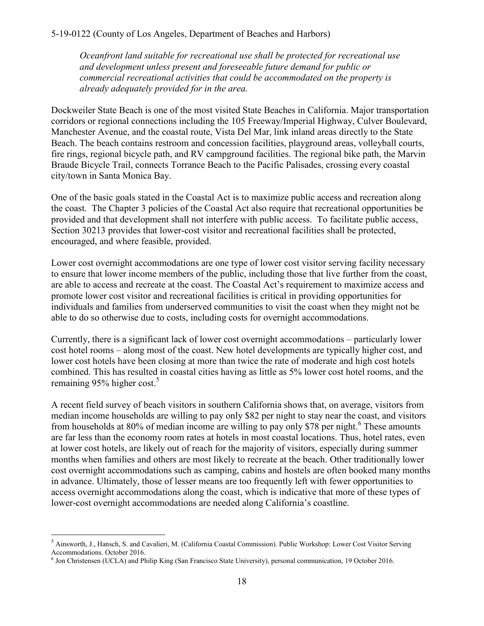#### 5-19-0122 (County of Los Angeles, Department of Beaches and Harbors)

*Oceanfront land suitable for recreational use shall be protected for recreational use and development unless present and foreseeable future demand for public or commercial recreational activities that could be accommodated on the property is already adequately provided for in the area.* 

Dockweiler State Beach is one of the most visited State Beaches in California. Major transportation corridors or regional connections including the 105 Freeway/Imperial Highway, Culver Boulevard, Manchester Avenue, and the coastal route, Vista Del Mar, link inland areas directly to the State Beach. The beach contains restroom and concession facilities, playground areas, volleyball courts, fire rings, regional bicycle path, and RV campground facilities. The regional bike path, the Marvin Braude Bicycle Trail, connects Torrance Beach to the Pacific Palisades, crossing every coastal city/town in Santa Monica Bay.

One of the basic goals stated in the Coastal Act is to maximize public access and recreation along the coast. The Chapter 3 policies of the Coastal Act also require that recreational opportunities be provided and that development shall not interfere with public access. To facilitate public access, Section 30213 provides that lower-cost visitor and recreational facilities shall be protected, encouraged, and where feasible, provided.

Lower cost overnight accommodations are one type of lower cost visitor serving facility necessary to ensure that lower income members of the public, including those that live further from the coast, are able to access and recreate at the coast. The Coastal Act's requirement to maximize access and promote lower cost visitor and recreational facilities is critical in providing opportunities for individuals and families from underserved communities to visit the coast when they might not be able to do so otherwise due to costs, including costs for overnight accommodations.

Currently, there is a significant lack of lower cost overnight accommodations – particularly lower cost hotel rooms – along most of the coast. New hotel developments are typically higher cost, and lower cost hotels have been closing at more than twice the rate of moderate and high cost hotels combined. This has resulted in coastal cities having as little as 5% lower cost hotel rooms, and the remaining  $95%$  higher cost.<sup>5</sup>

A recent field survey of beach visitors in southern California shows that, on average, visitors from median income households are willing to pay only \$82 per night to stay near the coast, and visitors from households at 80% of median income are willing to pay only \$78 per night.<sup>6</sup> These amounts are far less than the economy room rates at hotels in most coastal locations. Thus, hotel rates, even at lower cost hotels, are likely out of reach for the majority of visitors, especially during summer months when families and others are most likely to recreate at the beach. Other traditionally lower cost overnight accommodations such as camping, cabins and hostels are often booked many months in advance. Ultimately, those of lesser means are too frequently left with fewer opportunities to access overnight accommodations along the coast, which is indicative that more of these types of lower-cost overnight accommodations are needed along California's coastline.

 5 Ainsworth, J., Hansch, S. and Cavalieri, M. (California Coastal Commission). Public Workshop: Lower Cost Visitor Serving Accommodations. October 2016.

<sup>6</sup> Jon Christensen (UCLA) and Philip King (San Francisco State University), personal communication, 19 October 2016.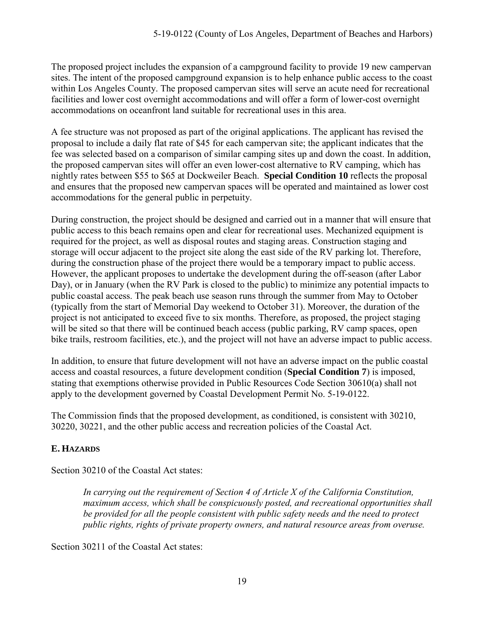The proposed project includes the expansion of a campground facility to provide 19 new campervan sites. The intent of the proposed campground expansion is to help enhance public access to the coast within Los Angeles County. The proposed campervan sites will serve an acute need for recreational facilities and lower cost overnight accommodations and will offer a form of lower-cost overnight accommodations on oceanfront land suitable for recreational uses in this area.

A fee structure was not proposed as part of the original applications. The applicant has revised the proposal to include a daily flat rate of \$45 for each campervan site; the applicant indicates that the fee was selected based on a comparison of similar camping sites up and down the coast. In addition, the proposed campervan sites will offer an even lower-cost alternative to RV camping, which has nightly rates between \$55 to \$65 at Dockweiler Beach. **Special Condition 10** reflects the proposal and ensures that the proposed new campervan spaces will be operated and maintained as lower cost accommodations for the general public in perpetuity.

During construction, the project should be designed and carried out in a manner that will ensure that public access to this beach remains open and clear for recreational uses. Mechanized equipment is required for the project, as well as disposal routes and staging areas. Construction staging and storage will occur adjacent to the project site along the east side of the RV parking lot. Therefore, during the construction phase of the project there would be a temporary impact to public access. However, the applicant proposes to undertake the development during the off-season (after Labor Day), or in January (when the RV Park is closed to the public) to minimize any potential impacts to public coastal access. The peak beach use season runs through the summer from May to October (typically from the start of Memorial Day weekend to October 31). Moreover, the duration of the project is not anticipated to exceed five to six months. Therefore, as proposed, the project staging will be sited so that there will be continued beach access (public parking, RV camp spaces, open bike trails, restroom facilities, etc.), and the project will not have an adverse impact to public access.

In addition, to ensure that future development will not have an adverse impact on the public coastal access and coastal resources, a future development condition (**Special Condition 7**) is imposed, stating that exemptions otherwise provided in Public Resources Code Section 30610(a) shall not apply to the development governed by Coastal Development Permit No. 5-19-0122.

The Commission finds that the proposed development, as conditioned, is consistent with 30210, 30220, 30221, and the other public access and recreation policies of the Coastal Act.

# <span id="page-18-0"></span>**E. HAZARDS**

Section 30210 of the Coastal Act states:

*In carrying out the requirement of Section 4 of Article X of the California Constitution, maximum access, which shall be conspicuously posted, and recreational opportunities shall be provided for all the people consistent with public safety needs and the need to protect public rights, rights of private property owners, and natural resource areas from overuse.* 

Section 30211 of the Coastal Act states: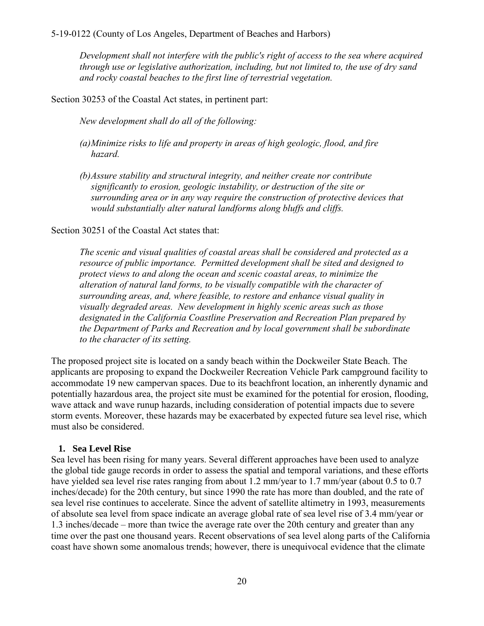*Development shall not interfere with the public's right of access to the sea where acquired through use or legislative authorization, including, but not limited to, the use of dry sand and rocky coastal beaches to the first line of terrestrial vegetation.* 

Section 30253 of the Coastal Act states, in pertinent part:

*New development shall do all of the following:* 

- *(a)Minimize risks to life and property in areas of high geologic, flood, and fire hazard.*
- *(b)Assure stability and structural integrity, and neither create nor contribute significantly to erosion, geologic instability, or destruction of the site or surrounding area or in any way require the construction of protective devices that would substantially alter natural landforms along bluffs and cliffs.*

Section 30251 of the Coastal Act states that:

*The scenic and visual qualities of coastal areas shall be considered and protected as a resource of public importance. Permitted development shall be sited and designed to protect views to and along the ocean and scenic coastal areas, to minimize the alteration of natural land forms, to be visually compatible with the character of surrounding areas, and, where feasible, to restore and enhance visual quality in visually degraded areas. New development in highly scenic areas such as those designated in the California Coastline Preservation and Recreation Plan prepared by the Department of Parks and Recreation and by local government shall be subordinate to the character of its setting.* 

The proposed project site is located on a sandy beach within the Dockweiler State Beach. The applicants are proposing to expand the Dockweiler Recreation Vehicle Park campground facility to accommodate 19 new campervan spaces. Due to its beachfront location, an inherently dynamic and potentially hazardous area, the project site must be examined for the potential for erosion, flooding, wave attack and wave runup hazards, including consideration of potential impacts due to severe storm events. Moreover, these hazards may be exacerbated by expected future sea level rise, which must also be considered.

#### **1. Sea Level Rise**

Sea level has been rising for many years. Several different approaches have been used to analyze the global tide gauge records in order to assess the spatial and temporal variations, and these efforts have yielded sea level rise rates ranging from about 1.2 mm/year to 1.7 mm/year (about 0.5 to 0.7 inches/decade) for the 20th century, but since 1990 the rate has more than doubled, and the rate of sea level rise continues to accelerate. Since the advent of satellite altimetry in 1993, measurements of absolute sea level from space indicate an average global rate of sea level rise of 3.4 mm/year or 1.3 inches/decade – more than twice the average rate over the 20th century and greater than any time over the past one thousand years. Recent observations of sea level along parts of the California coast have shown some anomalous trends; however, there is unequivocal evidence that the climate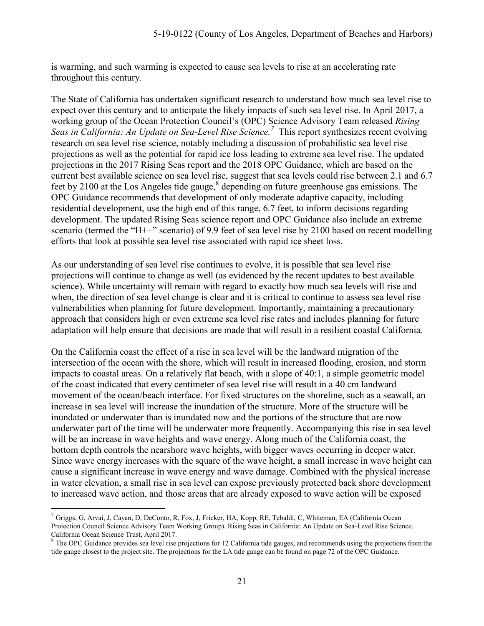is warming, and such warming is expected to cause sea levels to rise at an accelerating rate throughout this century.

The State of California has undertaken significant research to understand how much sea level rise to expect over this century and to anticipate the likely impacts of such sea level rise. In April 2017, a working group of the Ocean Protection Council's (OPC) Science Advisory Team released *Rising Seas in California: An Update on Sea-Level Rise Science.<sup>7</sup>* This report synthesizes recent evolving research on sea level rise science, notably including a discussion of probabilistic sea level rise projections as well as the potential for rapid ice loss leading to extreme sea level rise. The updated projections in the 2017 Rising Seas report and the 2018 OPC Guidance, which are based on the current best available science on sea level rise, suggest that sea levels could rise between 2.1 and 6.7 feet by 2100 at the Los Angeles tide gauge, $8$  depending on future greenhouse gas emissions. The OPC Guidance recommends that development of only moderate adaptive capacity, including residential development, use the high end of this range, 6.7 feet, to inform decisions regarding development. The updated Rising Seas science report and OPC Guidance also include an extreme scenario (termed the "H++" scenario) of 9.9 feet of sea level rise by 2100 based on recent modelling efforts that look at possible sea level rise associated with rapid ice sheet loss.

As our understanding of sea level rise continues to evolve, it is possible that sea level rise projections will continue to change as well (as evidenced by the recent updates to best available science). While uncertainty will remain with regard to exactly how much sea levels will rise and when, the direction of sea level change is clear and it is critical to continue to assess sea level rise vulnerabilities when planning for future development. Importantly, maintaining a precautionary approach that considers high or even extreme sea level rise rates and includes planning for future adaptation will help ensure that decisions are made that will result in a resilient coastal California.

On the California coast the effect of a rise in sea level will be the landward migration of the intersection of the ocean with the shore, which will result in increased flooding, erosion, and storm impacts to coastal areas. On a relatively flat beach, with a slope of 40:1, a simple geometric model of the coast indicated that every centimeter of sea level rise will result in a 40 cm landward movement of the ocean/beach interface. For fixed structures on the shoreline, such as a seawall, an increase in sea level will increase the inundation of the structure. More of the structure will be inundated or underwater than is inundated now and the portions of the structure that are now underwater part of the time will be underwater more frequently. Accompanying this rise in sea level will be an increase in wave heights and wave energy. Along much of the California coast, the bottom depth controls the nearshore wave heights, with bigger waves occurring in deeper water. Since wave energy increases with the square of the wave height, a small increase in wave height can cause a significant increase in wave energy and wave damage. Combined with the physical increase in water elevation, a small rise in sea level can expose previously protected back shore development to increased wave action, and those areas that are already exposed to wave action will be exposed

 $\overline{a}$ 

<sup>7</sup> Griggs, G, Árvai, J, Cayan, D, DeConto, R, Fox, J, Fricker, HA, Kopp, RE, Tebaldi, C, Whiteman, EA (California Ocean Protection Council Science Advisory Team Working Group). Rising Seas in California: An Update on Sea-Level Rise Science. California Ocean Science Trust, April 2017.

<sup>&</sup>lt;sup>8</sup> The OPC Guidance provides sea level rise projections for 12 California tide gauges, and recommends using the projections from the tide gauge closest to the project site. The projections for the LA tide gauge can be found on page 72 of the OPC Guidance.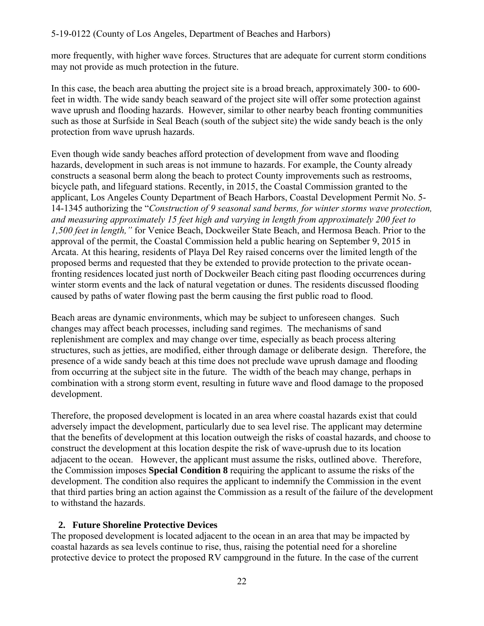more frequently, with higher wave forces. Structures that are adequate for current storm conditions may not provide as much protection in the future.

In this case, the beach area abutting the project site is a broad breach, approximately 300- to 600 feet in width. The wide sandy beach seaward of the project site will offer some protection against wave uprush and flooding hazards. However, similar to other nearby beach fronting communities such as those at Surfside in Seal Beach (south of the subject site) the wide sandy beach is the only protection from wave uprush hazards.

Even though wide sandy beaches afford protection of development from wave and flooding hazards, development in such areas is not immune to hazards. For example, the County already constructs a seasonal berm along the beach to protect County improvements such as restrooms, bicycle path, and lifeguard stations. Recently, in 2015, the Coastal Commission granted to the applicant, Los Angeles County Department of Beach Harbors, Coastal Development Permit No. 5- 14-1345 authorizing the "*Construction of 9 seasonal sand berms, for winter storms wave protection, and measuring approximately 15 feet high and varying in length from approximately 200 feet to 1,500 feet in length,"* for Venice Beach, Dockweiler State Beach, and Hermosa Beach. Prior to the approval of the permit, the Coastal Commission held a public hearing on September 9, 2015 in Arcata. At this hearing, residents of Playa Del Rey raised concerns over the limited length of the proposed berms and requested that they be extended to provide protection to the private oceanfronting residences located just north of Dockweiler Beach citing past flooding occurrences during winter storm events and the lack of natural vegetation or dunes. The residents discussed flooding caused by paths of water flowing past the berm causing the first public road to flood.

Beach areas are dynamic environments, which may be subject to unforeseen changes. Such changes may affect beach processes, including sand regimes. The mechanisms of sand replenishment are complex and may change over time, especially as beach process altering structures, such as jetties, are modified, either through damage or deliberate design. Therefore, the presence of a wide sandy beach at this time does not preclude wave uprush damage and flooding from occurring at the subject site in the future. The width of the beach may change, perhaps in combination with a strong storm event, resulting in future wave and flood damage to the proposed development.

Therefore, the proposed development is located in an area where coastal hazards exist that could adversely impact the development, particularly due to sea level rise. The applicant may determine that the benefits of development at this location outweigh the risks of coastal hazards, and choose to construct the development at this location despite the risk of wave-uprush due to its location adjacent to the ocean. However, the applicant must assume the risks, outlined above. Therefore, the Commission imposes **Special Condition 8** requiring the applicant to assume the risks of the development. The condition also requires the applicant to indemnify the Commission in the event that third parties bring an action against the Commission as a result of the failure of the development to withstand the hazards.

### **2. Future Shoreline Protective Devices**

The proposed development is located adjacent to the ocean in an area that may be impacted by coastal hazards as sea levels continue to rise, thus, raising the potential need for a shoreline protective device to protect the proposed RV campground in the future. In the case of the current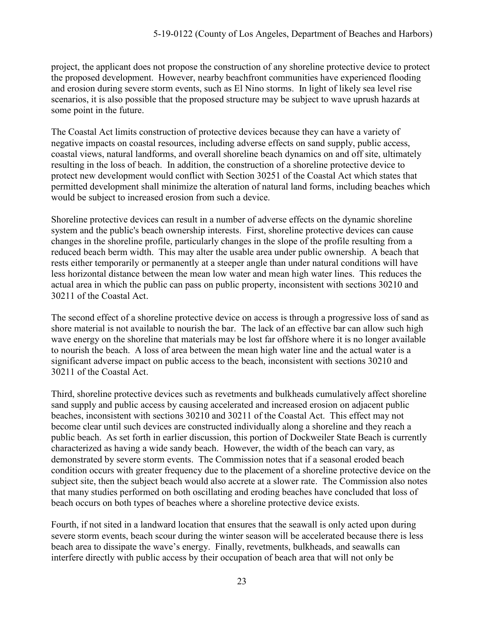project, the applicant does not propose the construction of any shoreline protective device to protect the proposed development. However, nearby beachfront communities have experienced flooding and erosion during severe storm events, such as El Nino storms. In light of likely sea level rise scenarios, it is also possible that the proposed structure may be subject to wave uprush hazards at some point in the future.

The Coastal Act limits construction of protective devices because they can have a variety of negative impacts on coastal resources, including adverse effects on sand supply, public access, coastal views, natural landforms, and overall shoreline beach dynamics on and off site, ultimately resulting in the loss of beach. In addition, the construction of a shoreline protective device to protect new development would conflict with Section 30251 of the Coastal Act which states that permitted development shall minimize the alteration of natural land forms, including beaches which would be subject to increased erosion from such a device.

Shoreline protective devices can result in a number of adverse effects on the dynamic shoreline system and the public's beach ownership interests. First, shoreline protective devices can cause changes in the shoreline profile, particularly changes in the slope of the profile resulting from a reduced beach berm width. This may alter the usable area under public ownership. A beach that rests either temporarily or permanently at a steeper angle than under natural conditions will have less horizontal distance between the mean low water and mean high water lines. This reduces the actual area in which the public can pass on public property, inconsistent with sections 30210 and 30211 of the Coastal Act.

The second effect of a shoreline protective device on access is through a progressive loss of sand as shore material is not available to nourish the bar. The lack of an effective bar can allow such high wave energy on the shoreline that materials may be lost far offshore where it is no longer available to nourish the beach. A loss of area between the mean high water line and the actual water is a significant adverse impact on public access to the beach, inconsistent with sections 30210 and 30211 of the Coastal Act.

Third, shoreline protective devices such as revetments and bulkheads cumulatively affect shoreline sand supply and public access by causing accelerated and increased erosion on adjacent public beaches, inconsistent with sections 30210 and 30211 of the Coastal Act. This effect may not become clear until such devices are constructed individually along a shoreline and they reach a public beach. As set forth in earlier discussion, this portion of Dockweiler State Beach is currently characterized as having a wide sandy beach. However, the width of the beach can vary, as demonstrated by severe storm events. The Commission notes that if a seasonal eroded beach condition occurs with greater frequency due to the placement of a shoreline protective device on the subject site, then the subject beach would also accrete at a slower rate. The Commission also notes that many studies performed on both oscillating and eroding beaches have concluded that loss of beach occurs on both types of beaches where a shoreline protective device exists.

Fourth, if not sited in a landward location that ensures that the seawall is only acted upon during severe storm events, beach scour during the winter season will be accelerated because there is less beach area to dissipate the wave's energy. Finally, revetments, bulkheads, and seawalls can interfere directly with public access by their occupation of beach area that will not only be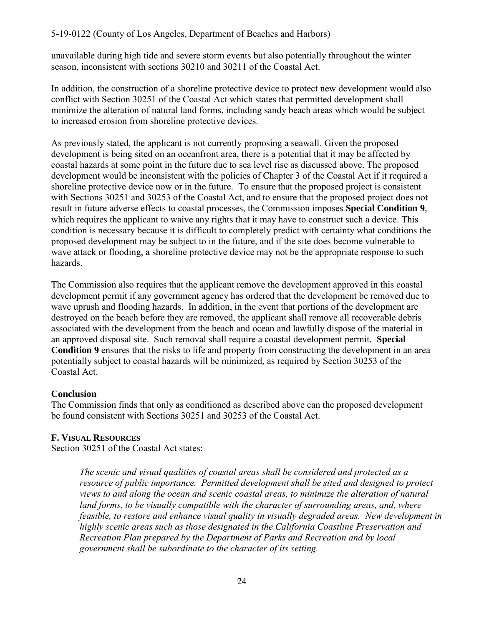### 5-19-0122 (County of Los Angeles, Department of Beaches and Harbors)

unavailable during high tide and severe storm events but also potentially throughout the winter season, inconsistent with sections 30210 and 30211 of the Coastal Act.

In addition, the construction of a shoreline protective device to protect new development would also conflict with Section 30251 of the Coastal Act which states that permitted development shall minimize the alteration of natural land forms, including sandy beach areas which would be subject to increased erosion from shoreline protective devices.

As previously stated, the applicant is not currently proposing a seawall. Given the proposed development is being sited on an oceanfront area, there is a potential that it may be affected by coastal hazards at some point in the future due to sea level rise as discussed above. The proposed development would be inconsistent with the policies of Chapter 3 of the Coastal Act if it required a shoreline protective device now or in the future. To ensure that the proposed project is consistent with Sections 30251 and 30253 of the Coastal Act, and to ensure that the proposed project does not result in future adverse effects to coastal processes, the Commission imposes **Special Condition 9**, which requires the applicant to waive any rights that it may have to construct such a device. This condition is necessary because it is difficult to completely predict with certainty what conditions the proposed development may be subject to in the future, and if the site does become vulnerable to wave attack or flooding, a shoreline protective device may not be the appropriate response to such hazards.

The Commission also requires that the applicant remove the development approved in this coastal development permit if any government agency has ordered that the development be removed due to wave uprush and flooding hazards. In addition, in the event that portions of the development are destroyed on the beach before they are removed, the applicant shall remove all recoverable debris associated with the development from the beach and ocean and lawfully dispose of the material in an approved disposal site. Such removal shall require a coastal development permit. **Special Condition 9** ensures that the risks to life and property from constructing the development in an area potentially subject to coastal hazards will be minimized, as required by Section 30253 of the Coastal Act.

### **Conclusion**

The Commission finds that only as conditioned as described above can the proposed development be found consistent with Sections 30251 and 30253 of the Coastal Act.

# <span id="page-23-0"></span>**F. VISUAL RESOURCES**

Section 30251 of the Coastal Act states:

*The scenic and visual qualities of coastal areas shall be considered and protected as a resource of public importance. Permitted development shall be sited and designed to protect views to and along the ocean and scenic coastal areas, to minimize the alteration of natural land forms, to be visually compatible with the character of surrounding areas, and, where feasible, to restore and enhance visual quality in visually degraded areas. New development in highly scenic areas such as those designated in the California Coastline Preservation and Recreation Plan prepared by the Department of Parks and Recreation and by local government shall be subordinate to the character of its setting.*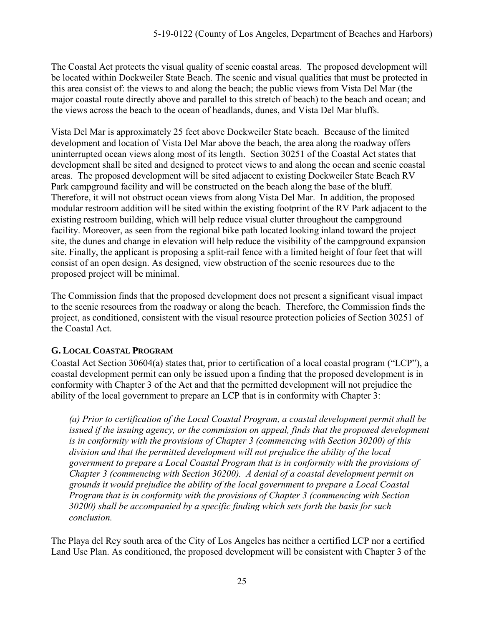The Coastal Act protects the visual quality of scenic coastal areas. The proposed development will be located within Dockweiler State Beach. The scenic and visual qualities that must be protected in this area consist of: the views to and along the beach; the public views from Vista Del Mar (the major coastal route directly above and parallel to this stretch of beach) to the beach and ocean; and the views across the beach to the ocean of headlands, dunes, and Vista Del Mar bluffs.

Vista Del Mar is approximately 25 feet above Dockweiler State beach. Because of the limited development and location of Vista Del Mar above the beach, the area along the roadway offers uninterrupted ocean views along most of its length. Section 30251 of the Coastal Act states that development shall be sited and designed to protect views to and along the ocean and scenic coastal areas. The proposed development will be sited adjacent to existing Dockweiler State Beach RV Park campground facility and will be constructed on the beach along the base of the bluff. Therefore, it will not obstruct ocean views from along Vista Del Mar. In addition, the proposed modular restroom addition will be sited within the existing footprint of the RV Park adjacent to the existing restroom building, which will help reduce visual clutter throughout the campground facility. Moreover, as seen from the regional bike path located looking inland toward the project site, the dunes and change in elevation will help reduce the visibility of the campground expansion site. Finally, the applicant is proposing a split-rail fence with a limited height of four feet that will consist of an open design. As designed, view obstruction of the scenic resources due to the proposed project will be minimal.

The Commission finds that the proposed development does not present a significant visual impact to the scenic resources from the roadway or along the beach. Therefore, the Commission finds the project, as conditioned, consistent with the visual resource protection policies of Section 30251 of the Coastal Act.

# <span id="page-24-0"></span>**G. LOCAL COASTAL PROGRAM**

Coastal Act Section 30604(a) states that, prior to certification of a local coastal program ("LCP"), a coastal development permit can only be issued upon a finding that the proposed development is in conformity with Chapter 3 of the Act and that the permitted development will not prejudice the ability of the local government to prepare an LCP that is in conformity with Chapter 3:

*(a) Prior to certification of the Local Coastal Program, a coastal development permit shall be*  issued if the issuing agency, or the commission on appeal, finds that the proposed development *is in conformity with the provisions of Chapter 3 (commencing with Section 30200) of this division and that the permitted development will not prejudice the ability of the local government to prepare a Local Coastal Program that is in conformity with the provisions of Chapter 3 (commencing with Section 30200). A denial of a coastal development permit on grounds it would prejudice the ability of the local government to prepare a Local Coastal Program that is in conformity with the provisions of Chapter 3 (commencing with Section 30200) shall be accompanied by a specific finding which sets forth the basis for such conclusion.*

The Playa del Rey south area of the City of Los Angeles has neither a certified LCP nor a certified Land Use Plan. As conditioned, the proposed development will be consistent with Chapter 3 of the